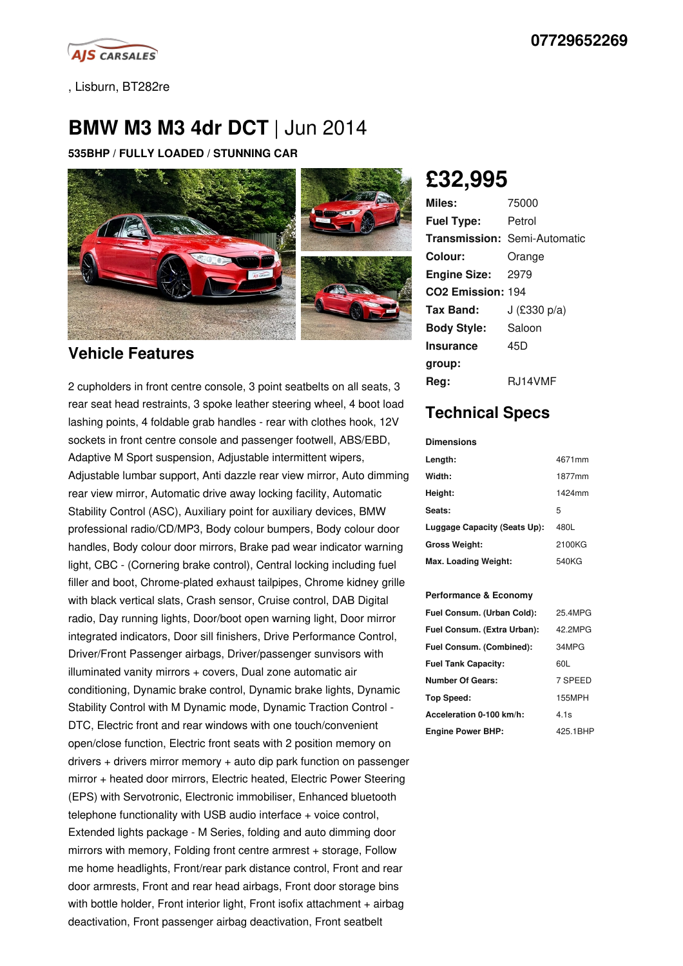

, Lisburn, BT282re

# **BMW M3 M3 4dr DCT** | Jun 2014

**535BHP / FULLY LOADED / STUNNING CAR**



## **Vehicle Features**

2 cupholders in front centre console, 3 point seatbelts on all seats, 3 rear seat head restraints, 3 spoke leather steering wheel, 4 boot load lashing points, 4 foldable grab handles - rear with clothes hook, 12V sockets in front centre console and passenger footwell, ABS/EBD, Adaptive M Sport suspension, Adjustable intermittent wipers, Adjustable lumbar support, Anti dazzle rear view mirror, Auto dimming rear view mirror, Automatic drive away locking facility, Automatic Stability Control (ASC), Auxiliary point for auxiliary devices, BMW professional radio/CD/MP3, Body colour bumpers, Body colour door handles, Body colour door mirrors, Brake pad wear indicator warning light, CBC - (Cornering brake control), Central locking including fuel filler and boot, Chrome-plated exhaust tailpipes, Chrome kidney grille with black vertical slats, Crash sensor, Cruise control, DAB Digital radio, Day running lights, Door/boot open warning light, Door mirror integrated indicators, Door sill finishers, Drive Performance Control, Driver/Front Passenger airbags, Driver/passenger sunvisors with illuminated vanity mirrors + covers, Dual zone automatic air conditioning, Dynamic brake control, Dynamic brake lights, Dynamic Stability Control with M Dynamic mode, Dynamic Traction Control - DTC, Electric front and rear windows with one touch/convenient open/close function, Electric front seats with 2 position memory on drivers + drivers mirror memory + auto dip park function on passenger mirror + heated door mirrors, Electric heated, Electric Power Steering (EPS) with Servotronic, Electronic immobiliser, Enhanced bluetooth telephone functionality with USB audio interface + voice control, Extended lights package - M Series, folding and auto dimming door mirrors with memory, Folding front centre armrest + storage, Follow me home headlights, Front/rear park distance control, Front and rear door armrests, Front and rear head airbags, Front door storage bins with bottle holder, Front interior light, Front isofix attachment + airbag deactivation, Front passenger airbag deactivation, Front seatbelt

**£32,995**

| Miles:                        | 75000                               |
|-------------------------------|-------------------------------------|
| <b>Fuel Type:</b>             | Petrol                              |
|                               | <b>Transmission: Semi-Automatic</b> |
| Colour:                       | Orange                              |
| <b>Engine Size:</b>           | 2979                                |
| CO <sub>2</sub> Emission: 194 |                                     |
| Tax Band:                     | J (£330 p/a)                        |
| <b>Body Style:</b>            | Saloon                              |
| <b>Insurance</b>              | 45D                                 |
| group:                        |                                     |
| Rea:                          | RJ14VMF                             |

# **Technical Specs**

#### **Dimensions**

| Length:                      | 4671mm |
|------------------------------|--------|
| Width:                       | 1877mm |
| Height:                      | 1424mm |
| Seats:                       | 5      |
| Luggage Capacity (Seats Up): | 480L   |
| <b>Gross Weight:</b>         | 2100KG |
| Max. Loading Weight:         | 540KG  |

#### **Performance & Economy**

| Fuel Consum. (Urban Cold):  | 25.4MPG  |
|-----------------------------|----------|
| Fuel Consum. (Extra Urban): | 42 2MPG  |
| Fuel Consum. (Combined):    | 34MPG    |
| <b>Fuel Tank Capacity:</b>  | 60L      |
| <b>Number Of Gears:</b>     | 7 SPEED  |
| Top Speed:                  | 155MPH   |
| Acceleration 0-100 km/h:    | 4.1s     |
| <b>Engine Power BHP:</b>    | 425.1BHP |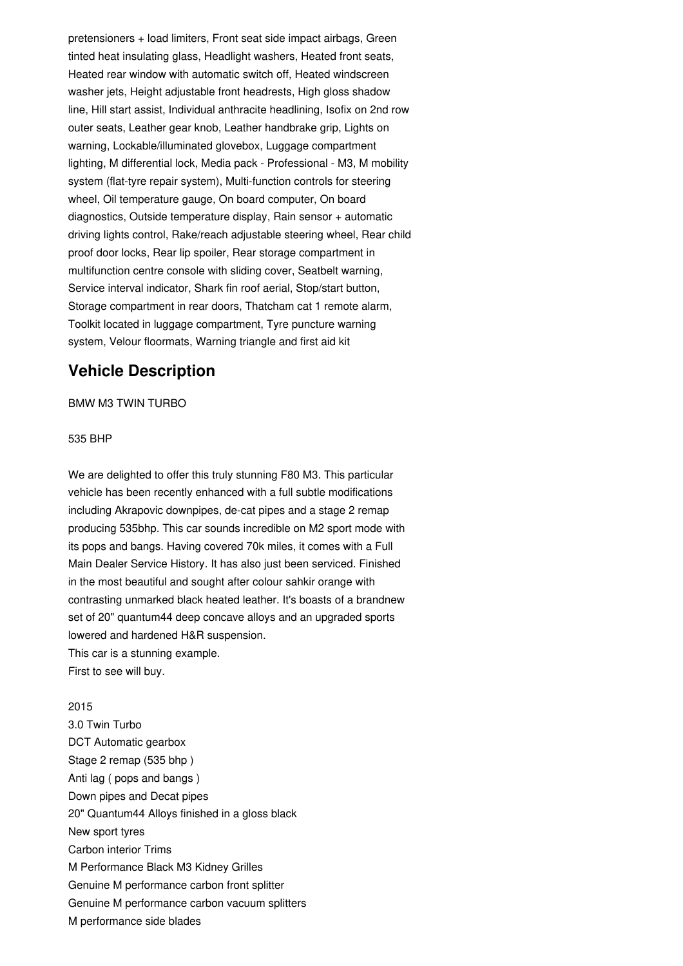pretensioners + load limiters, Front seat side impact airbags, Green tinted heat insulating glass, Headlight washers, Heated front seats, Heated rear window with automatic switch off, Heated windscreen washer jets, Height adjustable front headrests, High gloss shadow line, Hill start assist, Individual anthracite headlining, Isofix on 2nd row outer seats, Leather gear knob, Leather handbrake grip, Lights on warning, Lockable/illuminated glovebox, Luggage compartment lighting, M differential lock, Media pack - Professional - M3, M mobility system (flat-tyre repair system), Multi-function controls for steering wheel, Oil temperature gauge, On board computer, On board diagnostics, Outside temperature display, Rain sensor + automatic driving lights control, Rake/reach adjustable steering wheel, Rear child proof door locks, Rear lip spoiler, Rear storage compartment in multifunction centre console with sliding cover, Seatbelt warning, Service interval indicator, Shark fin roof aerial, Stop/start button, Storage compartment in rear doors, Thatcham cat 1 remote alarm, Toolkit located in luggage compartment, Tyre puncture warning system, Velour floormats, Warning triangle and first aid kit

## **Vehicle Description**

BMW M3TWIN TURBO

#### 535 BHP

We are delighted to offer this truly stunning F80 M3. This particular vehicle has been recently enhanced with a full subtle modifications including Akrapovic downpipes, de-cat pipes and a stage 2 remap producing 535bhp. This car sounds incredible on M2 sport mode with its pops and bangs. Having covered 70k miles, it comes with a Full Main Dealer Service History. It has also just been serviced. Finished in the most beautiful and sought after colour sahkir orange with contrasting unmarked black heated leather. It's boasts of a brandnew set of 20" quantum44 deep concave alloys and an upgraded sports lowered and hardened H&R suspension. This car is a stunning example.

First to see will buy.

#### 2015

3.0 Twin Turbo DCT Automatic gearbox Stage 2 remap (535 bhp ) Anti lag ( pops and bangs ) Down pipes and Decat pipes 20" Quantum44 Alloys finished in a gloss black New sport tyres Carbon interior Trims M Performance Black M3 Kidney Grilles Genuine M performance carbon front splitter Genuine M performance carbon vacuum splitters M performance side blades